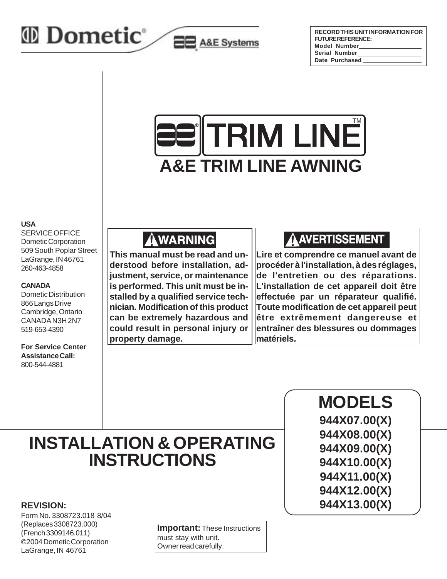

| RECORD THIS UNIT INFORMATION FOR |
|----------------------------------|
| <b>FUTUREREFERENCE:</b>          |
| Model Number                     |
| <b>Serial Number</b>             |
| Date Purchased                   |



**EE** A&E Systems

#### **USA**

SERVICE OFFICE Dometic Corporation 509 South Poplar Street LaGrange, IN 46761 260-463-4858

#### **CANADA**

Dometic Distribution 866 Langs Drive Cambridge, Ontario CANADA N3H 2N7 519-653-4390

**For Service Center Assistance Call:** 800-544-4881

# **AWARNING**

**This manual must be read and understood before installation, adjustment, service, or maintenance is performed. This unit must be installed by a qualified service technician. Modification of this product can be extremely hazardous and could result in personal injury or property damage.**

### AAVERTISSEMENT

**Lire et comprendre ce manuel avant de procéder à l'installation, à des réglages, de l'entretien ou des réparations. L'installation de cet appareil doit être effectuée par un réparateur qualifié. Toute modification de cet appareil peut être extrêmement dangereuse et entraîner des blessures ou dommages matériels.**

# **INSTALLATION & OPERATING INSTRUCTIONS**

#### **REVISION:**

Form No. 3308723.018 8/04 (Replaces 3308723.000) (French 3309146.011) ©2004 Dometic Corporation LaGrange, IN 46761

**Important:** These Instructions must stay with unit. Owner read carefully.

**MODELS 944X07.00(X) 944X08.00(X) 944X09.00(X) 944X10.00(X) 944X11.00(X) 944X12.00(X) 944X13.00(X)**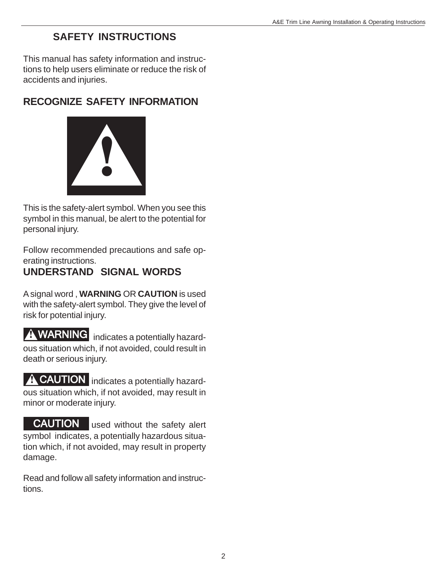### **SAFETY INSTRUCTIONS**

This manual has safety information and instructions to help users eliminate or reduce the risk of accidents and injuries.

## **RECOGNIZE SAFETY INFORMATION**



This is the safety-alert symbol. When you see this symbol in this manual, be alert to the potential for personal injury.

Follow recommended precautions and safe operating instructions.

### **UNDERSTAND SIGNAL WORDS**

A signal word , **WARNING** OR **CAUTION** is used with the safety-alert symbol. They give the level of risk for potential injury.

**WARNING** indicates a potentially hazardous situation which, if not avoided, could result in death or serious injury.

**CAUTION** indicates a potentially hazardous situation which, if not avoided, may result in minor or moderate injury.

CAUTION used without the safety alert symbol indicates, a potentially hazardous situation which, if not avoided, may result in property damage.

Read and follow all safety information and instructions.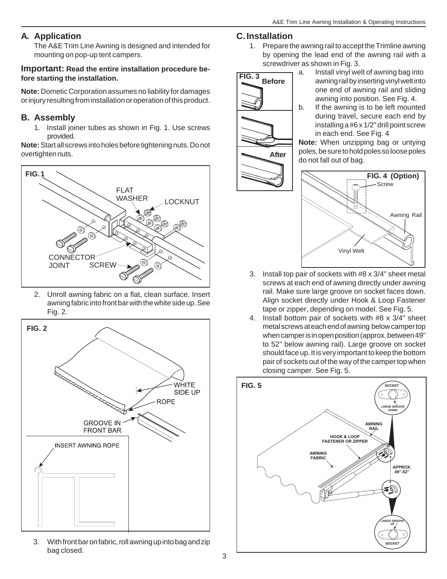### **A. Application**

The A&E Trim Line Awning is designed and intended for mounting on pop-up tent campers.

### **Important: Read the entire installation procedure before starting the installation.**

**Note:** Dometic Corporation assumes no liability for damages or injury resulting from installation or operation of this product.

### **B. Assembly**

1. Install joiner tubes as shown in Fig. 1. Use screws provided.

**Note:** Start all screws into holes before tightening nuts. Do not overtighten nuts.



2. Unroll awning fabric on a flat, clean surface. Insert awning fabric into front bar with the white side up. See Fig. 2.



3. With front bar on fabric, roll awning up into bag and zip bag closed.

### **C. Installation**

1. Prepare the awning rail to accept the Trimline awning by opening the lead end of the awning rail with a screwdriver as shown in Fig. 3.



- a. Install vinyl welt of awning bag into awning rail by inserting vinyl welt into one end of awning rail and sliding awning into position. See Fig. 4.
- b. If the awning is to be left mounted during travel, secure each end by installing a #6 x 1/2" drill point screw in each end. See Fig. 4

**Note:** When unzipping bag or untying poles, be sure to hold poles so loose poles do not fall out of bag.



- 3. Install top pair of sockets with #8 x 3/4" sheet metal screws at each end of awning directly under awning rail. Make sure large groove on socket faces down. Align socket directly under Hook & Loop Fastener tape or zipper, depending on model. See Fig. 5.
- 4. Install bottom pair of sockets with #8 x 3/4" sheet metal screws at each end of awning below camper top when camper is in open position (approx. between 49" to 52" below awning rail). Large groove on socket should face up. It is very important to keep the bottom pair of sockets out of the way of the camper top when closing camper. See Fig. 5.